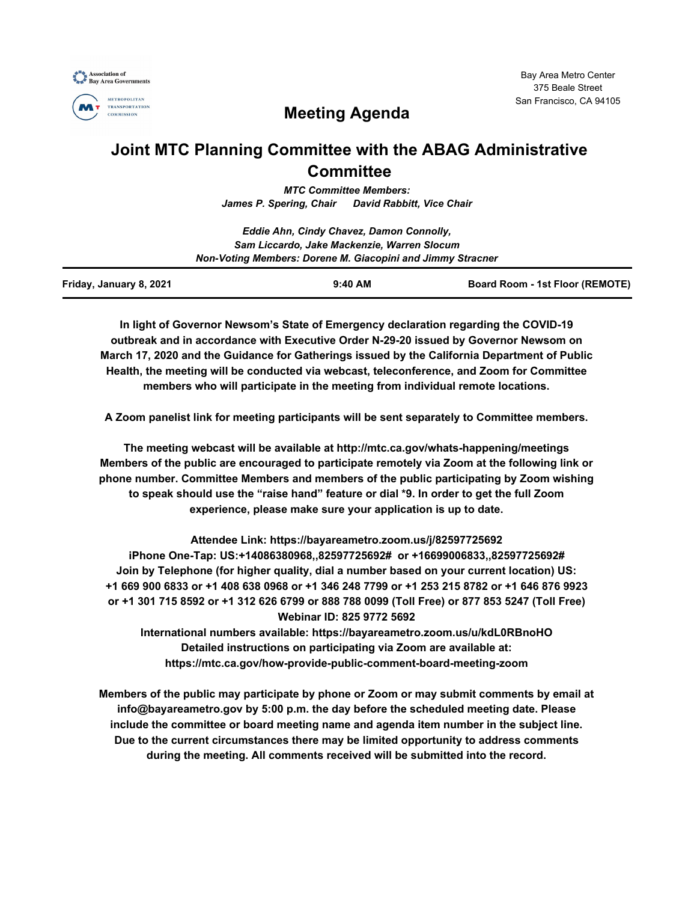



# **Meeting Agenda**

## **Joint MTC Planning Committee with the ABAG Administrative Committee**

*MTC Committee Members: James P. Spering, Chair David Rabbitt, Vice Chair*

|                                                            | Eddie Ahn, Cindy Chavez, Damon Connolly,    |                                 |
|------------------------------------------------------------|---------------------------------------------|---------------------------------|
|                                                            | Sam Liccardo, Jake Mackenzie, Warren Slocum |                                 |
| Non-Voting Members: Dorene M. Giacopini and Jimmy Stracner |                                             |                                 |
| Friday, January 8, 2021                                    | $9:40$ AM                                   | Board Room - 1st Floor (REMOTE) |

**In light of Governor Newsom's State of Emergency declaration regarding the COVID-19 outbreak and in accordance with Executive Order N-29-20 issued by Governor Newsom on March 17, 2020 and the Guidance for Gatherings issued by the California Department of Public Health, the meeting will be conducted via webcast, teleconference, and Zoom for Committee members who will participate in the meeting from individual remote locations.**

**A Zoom panelist link for meeting participants will be sent separately to Committee members.**

**The meeting webcast will be available at http://mtc.ca.gov/whats-happening/meetings Members of the public are encouraged to participate remotely via Zoom at the following link or phone number. Committee Members and members of the public participating by Zoom wishing to speak should use the "raise hand" feature or dial \*9. In order to get the full Zoom experience, please make sure your application is up to date.**

**Attendee Link: https://bayareametro.zoom.us/j/82597725692 iPhone One-Tap: US:+14086380968,,82597725692# or +16699006833,,82597725692# Join by Telephone (for higher quality, dial a number based on your current location) US: +1 669 900 6833 or +1 408 638 0968 or +1 346 248 7799 or +1 253 215 8782 or +1 646 876 9923 or +1 301 715 8592 or +1 312 626 6799 or 888 788 0099 (Toll Free) or 877 853 5247 (Toll Free) Webinar ID: 825 9772 5692**

**International numbers available: https://bayareametro.zoom.us/u/kdL0RBnoHO Detailed instructions on participating via Zoom are available at: https://mtc.ca.gov/how-provide-public-comment-board-meeting-zoom**

**Members of the public may participate by phone or Zoom or may submit comments by email at info@bayareametro.gov by 5:00 p.m. the day before the scheduled meeting date. Please include the committee or board meeting name and agenda item number in the subject line. Due to the current circumstances there may be limited opportunity to address comments during the meeting. All comments received will be submitted into the record.**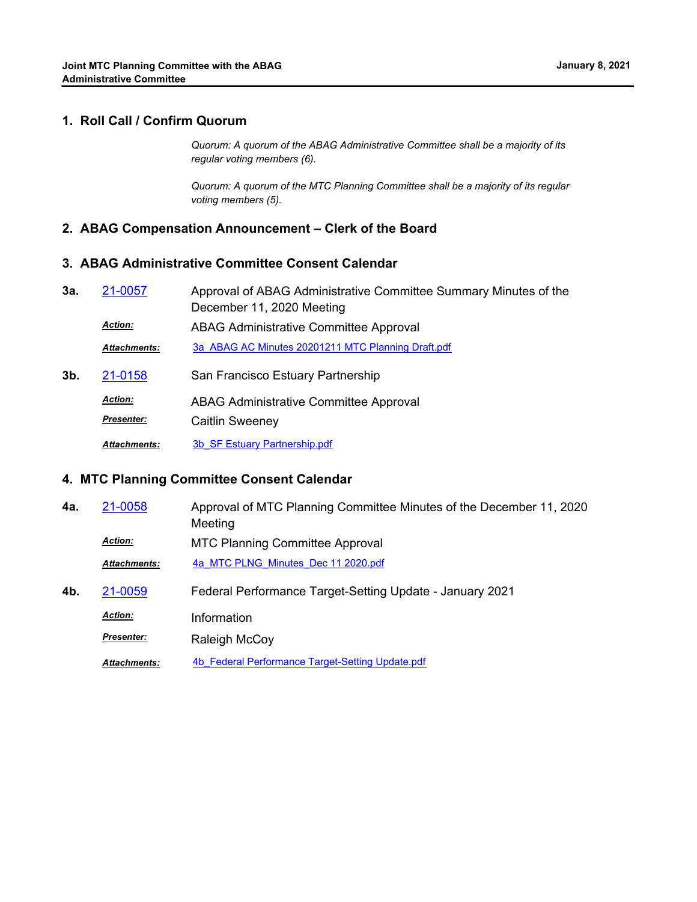#### **1. Roll Call / Confirm Quorum**

*Quorum: A quorum of the ABAG Administrative Committee shall be a majority of its regular voting members (6).*

*Quorum: A quorum of the MTC Planning Committee shall be a majority of its regular voting members (5).*

#### **2. ABAG Compensation Announcement – Clerk of the Board**

#### **3. ABAG Administrative Committee Consent Calendar**

Approval of ABAG Administrative Committee Summary Minutes of the December 11, 2020 Meeting **3a.** [21-0057](http://mtc.legistar.com/gateway.aspx?m=l&id=/matter.aspx?key=21650) ABAG Administrative Committee Approval *Action: Attachments:* [3a\\_ABAG AC Minutes 20201211 MTC Planning Draft.pdf](http://mtc.legistar.com/gateway.aspx?M=F&ID=cfc4fec1-b94d-41bc-acf4-8bdee99c5750.pdf) **3b.** [21-0158](http://mtc.legistar.com/gateway.aspx?m=l&id=/matter.aspx?key=21751) San Francisco Estuary Partnership ABAG Administrative Committee Approval *Action:* Caitlin Sweeney *Presenter:*

*Attachments:* [3b\\_SF Estuary Partnership.pdf](http://mtc.legistar.com/gateway.aspx?M=F&ID=3ac617d6-8183-414e-bd37-6b93cb774729.pdf)

#### **4. MTC Planning Committee Consent Calendar**

- Approval of MTC Planning Committee Minutes of the December 11, 2020 Meeting **4a.** [21-0058](http://mtc.legistar.com/gateway.aspx?m=l&id=/matter.aspx?key=21651) MTC Planning Committee Approval *Action: Attachments:* [4a\\_MTC PLNG\\_Minutes\\_Dec 11 2020.pdf](http://mtc.legistar.com/gateway.aspx?M=F&ID=c5ce5c5c-a61b-4eb9-b093-4819d75e82b4.pdf)
- **4b.** [21-0059](http://mtc.legistar.com/gateway.aspx?m=l&id=/matter.aspx?key=21652) Federal Performance Target-Setting Update January 2021 *Action:* Information **Presenter: Raleigh McCoy**

Attachments: 4b Federal Performance Target-Setting Update.pdf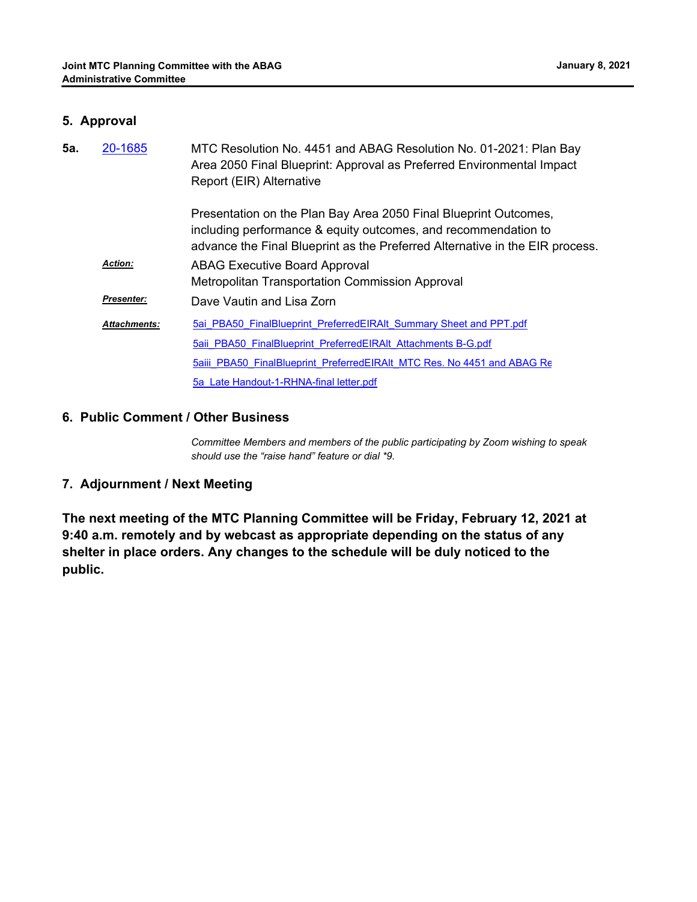### **5. Approval**

| 5а. | 20-1685             | MTC Resolution No. 4451 and ABAG Resolution No. 01-2021: Plan Bay<br>Area 2050 Final Blueprint: Approval as Preferred Environmental Impact<br>Report (EIR) Alternative                                             |
|-----|---------------------|--------------------------------------------------------------------------------------------------------------------------------------------------------------------------------------------------------------------|
|     |                     | Presentation on the Plan Bay Area 2050 Final Blueprint Outcomes,<br>including performance & equity outcomes, and recommendation to<br>advance the Final Blueprint as the Preferred Alternative in the EIR process. |
|     | <b>Action:</b>      | <b>ABAG Executive Board Approval</b><br>Metropolitan Transportation Commission Approval                                                                                                                            |
|     | Presenter:          | Dave Vautin and Lisa Zorn                                                                                                                                                                                          |
|     | <b>Attachments:</b> | 5ai PBA50 FinalBlueprint PreferredEIRAIt Summary Sheet and PPT.pdf                                                                                                                                                 |
|     |                     | 5aii PBA50 FinalBlueprint PreferredEIRAIt Attachments B-G.pdf                                                                                                                                                      |
|     |                     | 5aiii PBA50 FinalBlueprint PreferredEIRAIt MTC Res. No 4451 and ABAG Re                                                                                                                                            |
|     |                     | 5a Late Handout-1-RHNA-final letter.pdf                                                                                                                                                                            |

#### **6. Public Comment / Other Business**

*Committee Members and members of the public participating by Zoom wishing to speak should use the "raise hand" feature or dial \*9.*

## **7. Adjournment / Next Meeting**

**The next meeting of the MTC Planning Committee will be Friday, February 12, 2021 at 9:40 a.m. remotely and by webcast as appropriate depending on the status of any shelter in place orders. Any changes to the schedule will be duly noticed to the public.**